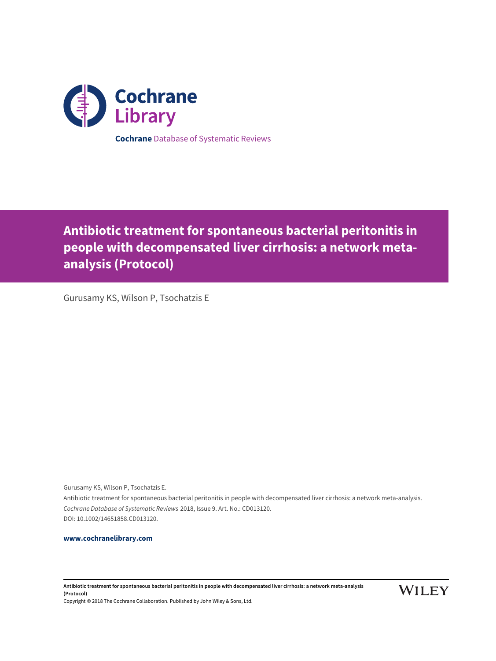

**Antibiotic treatment for spontaneous bacterial peritonitis in people with decompensated liver cirrhosis: a network metaanalysis (Protocol)**

Gurusamy KS, Wilson P, Tsochatzis E

Gurusamy KS, Wilson P, Tsochatzis E.

Antibiotic treatment for spontaneous bacterial peritonitis in people with decompensated liver cirrhosis: a network meta-analysis. Cochrane Database of Systematic Reviews 2018, Issue 9. Art. No.: CD013120. DOI: 10.1002/14651858.CD013120.

### **[www.cochranelibrary.com](http://www.cochranelibrary.com)**

**WILEY**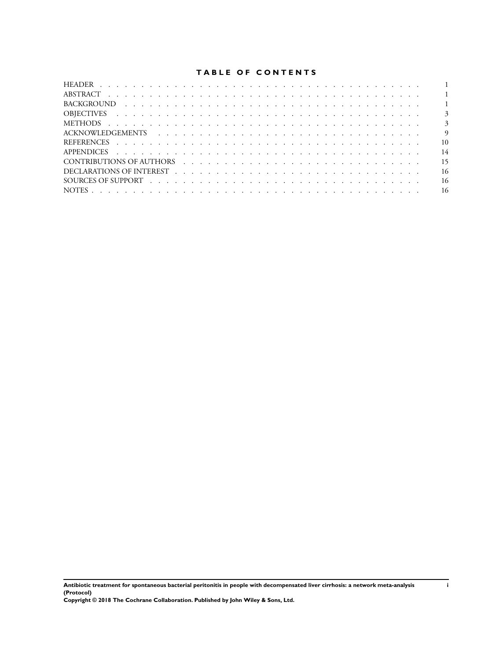# **TABLE OF CONTENTS**

|                                                                                                                | 3                       |
|----------------------------------------------------------------------------------------------------------------|-------------------------|
|                                                                                                                | $\overline{\mathbf{3}}$ |
|                                                                                                                | $\Omega$                |
|                                                                                                                | 10                      |
|                                                                                                                | 14                      |
| CONTRIBUTIONS OF AUTHORS (et al., et al., et al., et al., et al., et al., et al., et al., et al., et al., et a | 15                      |
|                                                                                                                | 16                      |
|                                                                                                                | 16                      |
|                                                                                                                |                         |

**Antibiotic treatment for spontaneous bacterial peritonitis in people with decompensated liver cirrhosis: a network meta-analysis i (Protocol)**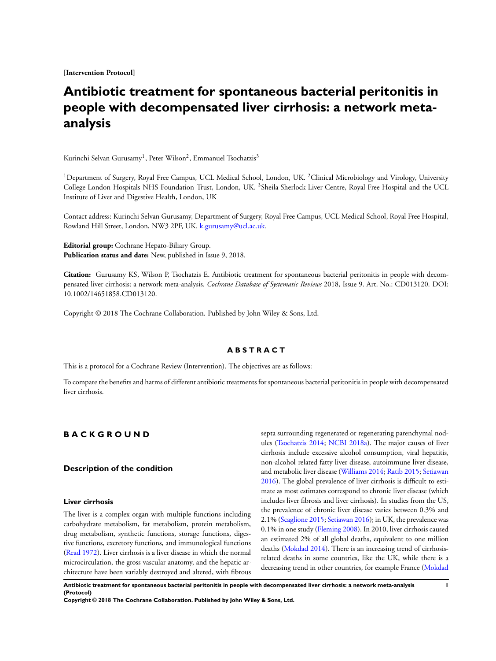<span id="page-2-0"></span>**[Intervention Protocol]**

# **Antibiotic treatment for spontaneous bacterial peritonitis in people with decompensated liver cirrhosis: a network metaanalysis**

Kurinchi Selvan Gurusamy $^{\rm l}$ , Peter Wilson $^{\rm 2}$ , Emmanuel Tsochatzis $^{\rm 3}$ 

<sup>1</sup>Department of Surgery, Royal Free Campus, UCL Medical School, London, UK. <sup>2</sup>Clinical Microbiology and Virology, University College London Hospitals NHS Foundation Trust, London, UK. <sup>3</sup>Sheila Sherlock Liver Centre, Royal Free Hospital and the UCL Institute of Liver and Digestive Health, London, UK

Contact address: Kurinchi Selvan Gurusamy, Department of Surgery, Royal Free Campus, UCL Medical School, Royal Free Hospital, Rowland Hill Street, London, NW3 2PF, UK. [k.gurusamy@ucl.ac.uk.](mailto:k.gurusamy@ucl.ac.uk)

**Editorial group:** Cochrane Hepato-Biliary Group. **Publication status and date:** New, published in Issue 9, 2018.

**Citation:** Gurusamy KS, Wilson P, Tsochatzis E. Antibiotic treatment for spontaneous bacterial peritonitis in people with decompensated liver cirrhosis: a network meta-analysis. *Cochrane Database of Systematic Reviews* 2018, Issue 9. Art. No.: CD013120. DOI: 10.1002/14651858.CD013120.

Copyright © 2018 The Cochrane Collaboration. Published by John Wiley & Sons, Ltd.

### **A B S T R A C T**

This is a protocol for a Cochrane Review (Intervention). The objectives are as follows:

To compare the benefits and harms of different antibiotic treatments for spontaneous bacterial peritonitis in people with decompensated liver cirrhosis.

# **B A C K G R O U N D**

### **Description of the condition**

### **Liver cirrhosis**

The liver is a complex organ with multiple functions including carbohydrate metabolism, fat metabolism, protein metabolism, drug metabolism, synthetic functions, storage functions, digestive functions, excretory functions, and immunological functions [\(Read 1972\)](#page-11-0). Liver cirrhosis is a liver disease in which the normal microcirculation, the gross vascular anatomy, and the hepatic architecture have been variably destroyed and altered, with fibrous

septa surrounding regenerated or regenerating parenchymal nodules [\(Tsochatzis 2014;](#page-11-0) [NCBI 2018a\)](#page-11-0). The major causes of liver cirrhosis include excessive alcohol consumption, viral hepatitis, non-alcohol related fatty liver disease, autoimmune liver disease, and metabolic liver disease ([Williams 2014](#page-11-0); [Ratib 2015](#page-11-0); [Setiawan](#page-11-0) [2016](#page-11-0)). The global prevalence of liver cirrhosis is difficult to estimate as most estimates correspond to chronic liver disease (which includes liver fibrosis and liver cirrhosis). In studies from the US, the prevalence of chronic liver disease varies between 0.3% and 2.1% [\(Scaglione 2015](#page-11-0); [Setiawan 2016](#page-11-0)); in UK, the prevalence was 0.1% in one study ([Fleming 2008](#page-11-0)). In 2010, liver cirrhosis caused an estimated 2% of all global deaths, equivalent to one million deaths ([Mokdad 2014](#page-11-0)). There is an increasing trend of cirrhosisrelated deaths in some countries, like the UK, while there is a decreasing trend in other countries, for example France ([Mokdad](#page-11-0)

**Antibiotic treatment for spontaneous bacterial peritonitis in people with decompensated liver cirrhosis: a network meta-analysis 1 (Protocol)**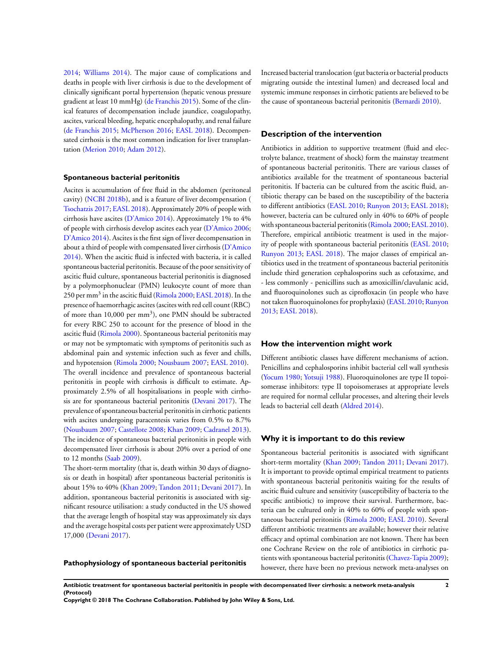[2014](#page-11-0); [Williams 2014](#page-11-0)). The major cause of complications and deaths in people with liver cirrhosis is due to the development of clinically significant portal hypertension (hepatic venous pressure gradient at least 10 mmHg) [\(de Franchis 2015](#page-11-0)). Some of the clinical features of decompensation include jaundice, coagulopathy, ascites, variceal bleeding, hepatic encephalopathy, and renal failure [\(de Franchis 2015](#page-11-0); [McPherson 2016;](#page-11-0) [EASL 2018\)](#page-11-0). Decompensated cirrhosis is the most common indication for liver transplantation ([Merion 2010](#page-11-0); [Adam 2012\)](#page-11-0).

### **Spontaneous bacterial peritonitis**

Ascites is accumulation of free fluid in the abdomen (peritoneal cavity) [\(NCBI 2018b\)](#page-11-0), and is a feature of liver decompensation ( [Tsochatzis 2017](#page-11-0); [EASL 2018\)](#page-11-0). Approximately 20% of people with cirrhosis have ascites [\(D'Amico 2014](#page-11-0)). Approximately 1% to 4% of people with cirrhosis develop ascites each year ([D'Amico 2006;](#page-11-0) [D'Amico 2014](#page-11-0)). Ascites is the first sign of liver decompensation in about a third of people with compensated liver cirrhosis [\(D'Amico](#page-11-0) [2014](#page-11-0)). When the ascitic fluid is infected with bacteria, it is called spontaneous bacterial peritonitis. Because of the poor sensitivity of ascitic fluid culture, spontaneous bacterial peritonitis is diagnosed by a polymorphonuclear (PMN) leukocyte count of more than 250 per mm<sup>3</sup> in the ascitic fluid (<u>[Rimola 2000](#page-11-0); EASL 2018</u>). In the presence of haemorrhagic ascites (ascites with red cell count (RBC) of more than 10,000 per mm<sup>3</sup>), one PMN should be subtracted for every RBC 250 to account for the presence of blood in the ascitic fluid ([Rimola 2000](#page-11-0)). Spontaneous bacterial peritonitis may or may not be symptomatic with symptoms of peritonitis such as abdominal pain and systemic infection such as fever and chills, and hypotension [\(Rimola 2000](#page-11-0); [Nousbaum 2007](#page-11-0); [EASL 2010](#page-11-0)). The overall incidence and prevalence of spontaneous bacterial peritonitis in people with cirrhosis is difficult to estimate. Approximately 2.5% of all hospitalisations in people with cirrhosis are for spontaneous bacterial peritonitis ([Devani 2017](#page-11-0)). The prevalence of spontaneous bacterial peritonitis in cirrhotic patients with ascites undergoing paracentesis varies from 0.5% to 8.7% [\(Nousbaum 2007;](#page-11-0) [Castellote 2008](#page-11-0); [Khan 2009](#page-11-0); [Cadranel 2013](#page-11-0)). The incidence of spontaneous bacterial peritonitis in people with decompensated liver cirrhosis is about 20% over a period of one to 12 months [\(Saab 2009\)](#page-11-0).

The short-term mortality (that is, death within 30 days of diagnosis or death in hospital) after spontaneous bacterial peritonitis is about 15% to 40% [\(Khan 2009](#page-11-0); [Tandon 2011](#page-11-0); [Devani 2017](#page-11-0)). In addition, spontaneous bacterial peritonitis is associated with significant resource utilisation: a study conducted in the US showed that the average length of hospital stay was approximately six days and the average hospital costs per patient were approximately USD 17,000 [\(Devani 2017](#page-11-0)).

#### **Pathophysiology of spontaneous bacterial peritonitis**

Increased bacterial translocation (gut bacteria or bacterial products migrating outside the intestinal lumen) and decreased local and systemic immune responses in cirrhotic patients are believed to be the cause of spontaneous bacterial peritonitis ([Bernardi 2010](#page-11-0)).

### **Description of the intervention**

Antibiotics in addition to supportive treatment (fluid and electrolyte balance, treatment of shock) form the mainstay treatment of spontaneous bacterial peritonitis. There are various classes of antibiotics available for the treatment of spontaneous bacterial peritonitis. If bacteria can be cultured from the ascitic fluid, antibiotic therapy can be based on the susceptibility of the bacteria to different antibiotics [\(EASL 2010;](#page-11-0) [Runyon 2013](#page-11-0); [EASL 2018](#page-11-0)); however, bacteria can be cultured only in 40% to 60% of people with spontaneous bacterial peritonitis [\(Rimola 2000;](#page-11-0) [EASL 2010](#page-11-0)). Therefore, empirical antibiotic treatment is used in the majority of people with spontaneous bacterial peritonitis [\(EASL 2010;](#page-11-0) [Runyon 2013](#page-11-0); [EASL 2018\)](#page-11-0). The major classes of empirical antibiotics used in the treatment of spontaneous bacterial peritonitis include third generation cephalosporins such as cefotaxime, and - less commonly - penicillins such as amoxicillin/clavulanic acid, and fluoroquinolones such as ciprofloxacin (in people who have not taken fluoroquinolones for prophylaxis) ([EASL 2010](#page-11-0); [Runyon](#page-11-0) [2013](#page-11-0); [EASL 2018](#page-11-0)).

### **How the intervention might work**

Different antibiotic classes have different mechanisms of action. Penicillins and cephalosporins inhibit bacterial cell wall synthesis [\(Yocum 1980](#page-11-0); [Yotsuji 1988](#page-11-0)). Fluoroquinolones are type II topoisomerase inhibitors: type II topoisomerases at appropriate levels are required for normal cellular processes, and altering their levels leads to bacterial cell death [\(Aldred 2014](#page-11-0)).

### **Why it is important to do this review**

Spontaneous bacterial peritonitis is associated with significant short-term mortality [\(Khan 2009](#page-11-0); [Tandon 2011;](#page-11-0) [Devani 2017](#page-11-0)). It is important to provide optimal empirical treatment to patients with spontaneous bacterial peritonitis waiting for the results of ascitic fluid culture and sensitivity (susceptibility of bacteria to the specific antibiotic) to improve their survival. Furthermore, bacteria can be cultured only in 40% to 60% of people with spontaneous bacterial peritonitis ([Rimola 2000;](#page-11-0) [EASL 2010](#page-11-0)). Several different antibiotic treatments are available; however their relative efficacy and optimal combination are not known. There has been one Cochrane Review on the role of antibiotics in cirrhotic patients with spontaneous bacterial peritonitis [\(Chavez-Tapia 2009](#page-11-0)); however, there have been no previous network meta-analyses on

**Antibiotic treatment for spontaneous bacterial peritonitis in people with decompensated liver cirrhosis: a network meta-analysis 2 (Protocol)**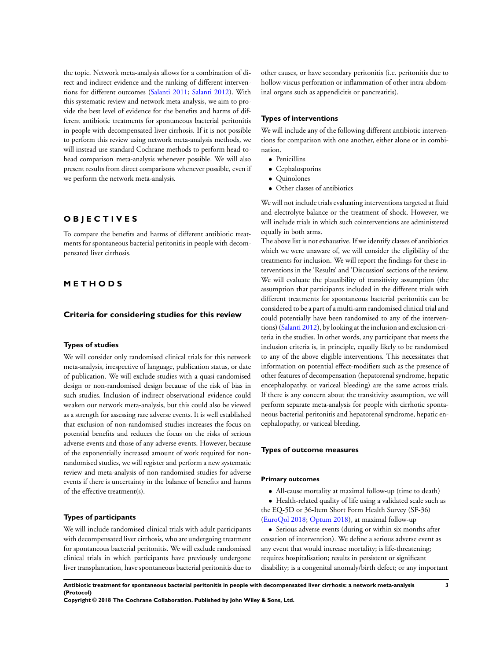the topic. Network meta-analysis allows for a combination of direct and indirect evidence and the ranking of different interventions for different outcomes ([Salanti 2011](#page-11-0); [Salanti 2012\)](#page-11-0). With this systematic review and network meta-analysis, we aim to provide the best level of evidence for the benefits and harms of different antibiotic treatments for spontaneous bacterial peritonitis in people with decompensated liver cirrhosis. If it is not possible to perform this review using network meta-analysis methods, we will instead use standard Cochrane methods to perform head-tohead comparison meta-analysis whenever possible. We will also present results from direct comparisons whenever possible, even if we perform the network meta-analysis.

# **O B J E C T I V E S**

To compare the benefits and harms of different antibiotic treatments for spontaneous bacterial peritonitis in people with decompensated liver cirrhosis.

# **M E T H O D S**

### **Criteria for considering studies for this review**

### **Types of studies**

We will consider only randomised clinical trials for this network meta-analysis, irrespective of language, publication status, or date of publication. We will exclude studies with a quasi-randomised design or non-randomised design because of the risk of bias in such studies. Inclusion of indirect observational evidence could weaken our network meta-analysis, but this could also be viewed as a strength for assessing rare adverse events. It is well established that exclusion of non-randomised studies increases the focus on potential benefits and reduces the focus on the risks of serious adverse events and those of any adverse events. However, because of the exponentially increased amount of work required for nonrandomised studies, we will register and perform a new systematic review and meta-analysis of non-randomised studies for adverse events if there is uncertainty in the balance of benefits and harms of the effective treatment(s).

### **Types of participants**

We will include randomised clinical trials with adult participants with decompensated liver cirrhosis, who are undergoing treatment for spontaneous bacterial peritonitis. We will exclude randomised clinical trials in which participants have previously undergone liver transplantation, have spontaneous bacterial peritonitis due to

other causes, or have secondary peritonitis (i.e. peritonitis due to hollow-viscus perforation or inflammation of other intra-abdominal organs such as appendicitis or pancreatitis).

#### **Types of interventions**

We will include any of the following different antibiotic interventions for comparison with one another, either alone or in combination.

- Penicillins
- Cephalosporins
- Quinolones
- Other classes of antibiotics

We will not include trials evaluating interventions targeted at fluid and electrolyte balance or the treatment of shock. However, we will include trials in which such cointerventions are administered equally in both arms.

The above list is not exhaustive. If we identify classes of antibiotics which we were unaware of, we will consider the eligibility of the treatments for inclusion. We will report the findings for these interventions in the 'Results' and 'Discussion' sections of the review. We will evaluate the plausibility of transitivity assumption (the assumption that participants included in the different trials with different treatments for spontaneous bacterial peritonitis can be considered to be a part of a multi-arm randomised clinical trial and could potentially have been randomised to any of the interventions) [\(Salanti 2012\)](#page-11-0), by looking at the inclusion and exclusion criteria in the studies. In other words, any participant that meets the inclusion criteria is, in principle, equally likely to be randomised to any of the above eligible interventions. This necessitates that information on potential effect-modifiers such as the presence of other features of decompensation (hepatorenal syndrome, hepatic encephalopathy, or variceal bleeding) are the same across trials. If there is any concern about the transitivity assumption, we will perform separate meta-analysis for people with cirrhotic spontaneous bacterial peritonitis and hepatorenal syndrome, hepatic encephalopathy, or variceal bleeding.

### **Types of outcome measures**

#### **Primary outcomes**

- All-cause mortality at maximal follow-up (time to death)
- Health-related quality of life using a validated scale such as the EQ-5D or 36-Item Short Form Health Survey (SF-36)

[\(EuroQol 2018](#page-11-0); [Optum 2018\)](#page-11-0), at maximal follow-up • Serious adverse events (during or within six months after cessation of intervention). We define a serious adverse event as any event that would increase mortality; is life-threatening; requires hospitalisation; results in persistent or significant

disability; is a congenital anomaly/birth defect; or any important

**Antibiotic treatment for spontaneous bacterial peritonitis in people with decompensated liver cirrhosis: a network meta-analysis 3 (Protocol)**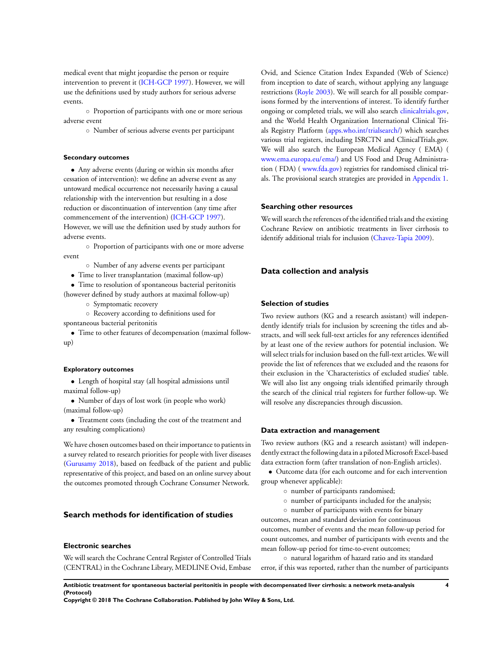medical event that might jeopardise the person or require intervention to prevent it ([ICH-GCP 1997\)](#page-11-0). However, we will use the definitions used by study authors for serious adverse events.

◦ Proportion of participants with one or more serious adverse event

◦ Number of serious adverse events per participant

### **Secondary outcomes**

• Any adverse events (during or within six months after cessation of intervention): we define an adverse event as any untoward medical occurrence not necessarily having a causal relationship with the intervention but resulting in a dose reduction or discontinuation of intervention (any time after commencement of the intervention) [\(ICH-GCP 1997](#page-11-0)). However, we will use the definition used by study authors for adverse events.

◦ Proportion of participants with one or more adverse event

◦ Number of any adverse events per participant

• Time to liver transplantation (maximal follow-up)

• Time to resolution of spontaneous bacterial peritonitis (however defined by study authors at maximal follow-up)

◦ Symptomatic recovery

◦ Recovery according to definitions used for

spontaneous bacterial peritonitis

• Time to other features of decompensation (maximal followup)

#### **Exploratory outcomes**

• Length of hospital stay (all hospital admissions until maximal follow-up)

• Number of days of lost work (in people who work) (maximal follow-up)

• Treatment costs (including the cost of the treatment and any resulting complications)

We have chosen outcomes based on their importance to patients in a survey related to research priorities for people with liver diseases [\(Gurusamy 2018\)](#page-11-0), based on feedback of the patient and public representative of this project, and based on an online survey about the outcomes promoted through Cochrane Consumer Network.

# **Search methods for identification of studies**

#### **Electronic searches**

We will search the Cochrane Central Register of Controlled Trials (CENTRAL) in the Cochrane Library, MEDLINE Ovid, Embase Ovid, and Science Citation Index Expanded (Web of Science) from inception to date of search, without applying any language restrictions ([Royle 2003\)](#page-11-0). We will search for all possible comparisons formed by the interventions of interest. To identify further ongoing or completed trials, we will also search [clinicaltrials.gov,](https://clinicaltrials.gov/) and the World Health Organization International Clinical Trials Registry Platform ([apps.who.int/trialsearch/\)](http://apps.who.int/trialsearch/) which searches various trial registers, including ISRCTN and ClinicalTrials.gov. We will also search the European Medical Agency ( EMA) ( [www.ema.europa.eu/ema/\)](http://www.ema.europa.eu/ema/) and US Food and Drug Administration ( FDA) ( [www.fda.gov](http://www.fda.gov)) registries for randomised clinical trials. The provisional search strategies are provided in [Appendix 1](#page-15-0).

### **Searching other resources**

We will search the references of the identified trials and the existing Cochrane Review on antibiotic treatments in liver cirrhosis to identify additional trials for inclusion ([Chavez-Tapia 2009\)](#page-11-0).

### **Data collection and analysis**

### **Selection of studies**

Two review authors (KG and a research assistant) will independently identify trials for inclusion by screening the titles and abstracts, and will seek full-text articles for any references identified by at least one of the review authors for potential inclusion. We will select trials for inclusion based on the full-text articles. We will provide the list of references that we excluded and the reasons for their exclusion in the 'Characteristics of excluded studies' table. We will also list any ongoing trials identified primarily through the search of the clinical trial registers for further follow-up. We will resolve any discrepancies through discussion.

#### **Data extraction and management**

Two review authors (KG and a research assistant) will independently extract the following data in a piloted Microsoft Excel-based data extraction form (after translation of non-English articles).

• Outcome data (for each outcome and for each intervention group whenever applicable):

- number of participants randomised;
- number of participants included for the analysis;
- number of participants with events for binary

outcomes, mean and standard deviation for continuous outcomes, number of events and the mean follow-up period for count outcomes, and number of participants with events and the mean follow-up period for time-to-event outcomes;

◦ natural logarithm of hazard ratio and its standard error, if this was reported, rather than the number of participants

**Antibiotic treatment for spontaneous bacterial peritonitis in people with decompensated liver cirrhosis: a network meta-analysis 4 (Protocol)**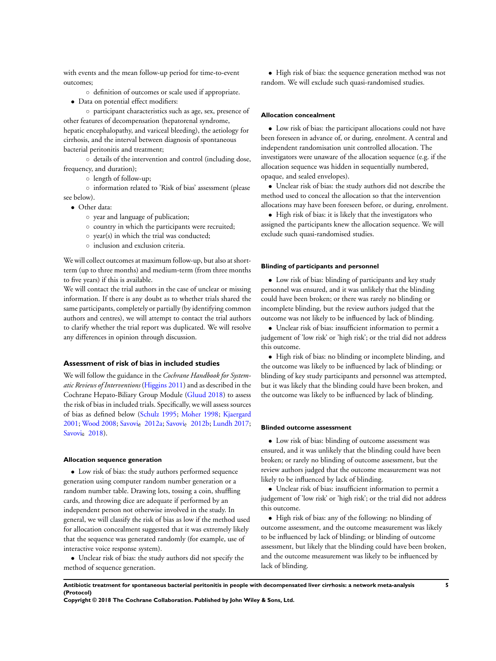with events and the mean follow-up period for time-to-event outcomes;

◦ definition of outcomes or scale used if appropriate.

• Data on potential effect modifiers:

◦ participant characteristics such as age, sex, presence of other features of decompensation (hepatorenal syndrome, hepatic encephalopathy, and variceal bleeding), the aetiology for cirrhosis, and the interval between diagnosis of spontaneous bacterial peritonitis and treatment;

◦ details of the intervention and control (including dose, frequency, and duration);

◦ length of follow-up;

◦ information related to 'Risk of bias' assessment (please see below).

- Other data:
	- year and language of publication;
	- country in which the participants were recruited;
	- year(s) in which the trial was conducted;
	- inclusion and exclusion criteria.

We will collect outcomes at maximum follow-up, but also at shortterm (up to three months) and medium-term (from three months to five years) if this is available.

We will contact the trial authors in the case of unclear or missing information. If there is any doubt as to whether trials shared the same participants, completely or partially (by identifying common authors and centres), we will attempt to contact the trial authors to clarify whether the trial report was duplicated. We will resolve any differences in opinion through discussion.

### **Assessment of risk of bias in included studies**

We will follow the guidance in the *Cochrane Handbook for Systematic Reviews of Interventions* ([Higgins 2011\)](#page-11-0) and as described in the Cochrane Hepato-Biliary Group Module ([Gluud 2018\)](#page-11-0) to assess the risk of bias in included trials. Specifically, we will assess sources of bias as defined below ([Schulz 1995](#page-11-0); [Moher 1998](#page-11-0); [Kjaergard](#page-11-0) [2001](#page-11-0); [Wood 2008;](#page-11-0) [Savovi](#page-11-0)c [2012a](#page-11-0); Savovic [2012b](#page-11-0); [Lundh 2017;](#page-11-0) [Savovi](#page-11-0): [2018\)](#page-11-0).

#### **Allocation sequence generation**

• Low risk of bias: the study authors performed sequence generation using computer random number generation or a random number table. Drawing lots, tossing a coin, shuffling cards, and throwing dice are adequate if performed by an independent person not otherwise involved in the study. In general, we will classify the risk of bias as low if the method used for allocation concealment suggested that it was extremely likely that the sequence was generated randomly (for example, use of interactive voice response system).

• Unclear risk of bias: the study authors did not specify the method of sequence generation.

• High risk of bias: the sequence generation method was not random. We will exclude such quasi-randomised studies.

### **Allocation concealment**

• Low risk of bias: the participant allocations could not have been foreseen in advance of, or during, enrolment. A central and independent randomisation unit controlled allocation. The investigators were unaware of the allocation sequence (e.g. if the allocation sequence was hidden in sequentially numbered, opaque, and sealed envelopes).

• Unclear risk of bias: the study authors did not describe the method used to conceal the allocation so that the intervention allocations may have been foreseen before, or during, enrolment.

• High risk of bias: it is likely that the investigators who assigned the participants knew the allocation sequence. We will exclude such quasi-randomised studies.

#### **Blinding of participants and personnel**

• Low risk of bias: blinding of participants and key study personnel was ensured, and it was unlikely that the blinding could have been broken; or there was rarely no blinding or incomplete blinding, but the review authors judged that the outcome was not likely to be influenced by lack of blinding.

• Unclear risk of bias: insufficient information to permit a judgement of 'low risk' or 'high risk'; or the trial did not address this outcome.

• High risk of bias: no blinding or incomplete blinding, and the outcome was likely to be influenced by lack of blinding; or blinding of key study participants and personnel was attempted, but it was likely that the blinding could have been broken, and the outcome was likely to be influenced by lack of blinding.

### **Blinded outcome assessment**

• Low risk of bias: blinding of outcome assessment was ensured, and it was unlikely that the blinding could have been broken; or rarely no blinding of outcome assessment, but the review authors judged that the outcome measurement was not likely to be influenced by lack of blinding.

• Unclear risk of bias: insufficient information to permit a judgement of 'low risk' or 'high risk'; or the trial did not address this outcome.

• High risk of bias: any of the following: no blinding of outcome assessment, and the outcome measurement was likely to be influenced by lack of blinding; or blinding of outcome assessment, but likely that the blinding could have been broken, and the outcome measurement was likely to be influenced by lack of blinding.

**Antibiotic treatment for spontaneous bacterial peritonitis in people with decompensated liver cirrhosis: a network meta-analysis 5 (Protocol)**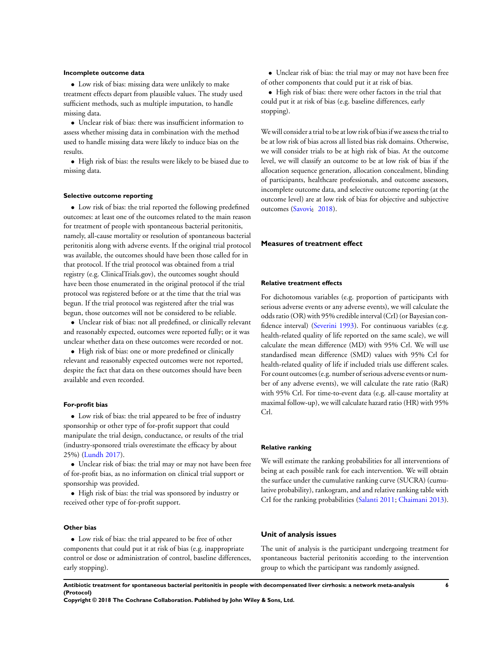#### **Incomplete outcome data**

• Low risk of bias: missing data were unlikely to make treatment effects depart from plausible values. The study used sufficient methods, such as multiple imputation, to handle missing data.

• Unclear risk of bias: there was insufficient information to assess whether missing data in combination with the method used to handle missing data were likely to induce bias on the results.

• High risk of bias: the results were likely to be biased due to missing data.

#### **Selective outcome reporting**

• Low risk of bias: the trial reported the following predefined outcomes: at least one of the outcomes related to the main reason for treatment of people with spontaneous bacterial peritonitis, namely, all-cause mortality or resolution of spontaneous bacterial peritonitis along with adverse events. If the original trial protocol was available, the outcomes should have been those called for in that protocol. If the trial protocol was obtained from a trial registry (e.g. ClinicalTrials.gov), the outcomes sought should have been those enumerated in the original protocol if the trial protocol was registered before or at the time that the trial was begun. If the trial protocol was registered after the trial was begun, those outcomes will not be considered to be reliable.

• Unclear risk of bias: not all predefined, or clinically relevant and reasonably expected, outcomes were reported fully; or it was unclear whether data on these outcomes were recorded or not.

• High risk of bias: one or more predefined or clinically relevant and reasonably expected outcomes were not reported, despite the fact that data on these outcomes should have been available and even recorded.

#### **For-profit bias**

• Low risk of bias: the trial appeared to be free of industry sponsorship or other type of for-profit support that could manipulate the trial design, conductance, or results of the trial (industry-sponsored trials overestimate the efficacy by about 25%) ([Lundh 2017](#page-11-0)).

• Unclear risk of bias: the trial may or may not have been free of for-profit bias, as no information on clinical trial support or sponsorship was provided.

• High risk of bias: the trial was sponsored by industry or received other type of for-profit support.

#### **Other bias**

• Low risk of bias: the trial appeared to be free of other components that could put it at risk of bias (e.g. inappropriate control or dose or administration of control, baseline differences, early stopping).

• Unclear risk of bias: the trial may or may not have been free of other components that could put it at risk of bias.

• High risk of bias: there were other factors in the trial that could put it at risk of bias (e.g. baseline differences, early stopping).

We will consider a trial to be at low risk of bias if we assess the trial to be at low risk of bias across all listed bias risk domains. Otherwise, we will consider trials to be at high risk of bias. At the outcome level, we will classify an outcome to be at low risk of bias if the allocation sequence generation, allocation concealment, blinding of participants, healthcare professionals, and outcome assessors, incomplete outcome data, and selective outcome reporting (at the outcome level) are at low risk of bias for objective and subjective outcomes ([Savovi](#page-11-0)c [2018](#page-11-0)).

### **Measures of treatment effect**

#### **Relative treatment effects**

For dichotomous variables (e.g. proportion of participants with serious adverse events or any adverse events), we will calculate the odds ratio (OR) with 95% credible interval (CrI) (or Bayesian confidence interval) [\(Severini 1993\)](#page-11-0). For continuous variables (e.g. health-related quality of life reported on the same scale), we will calculate the mean difference (MD) with 95% Crl. We will use standardised mean difference (SMD) values with 95% Crl for health-related quality of life if included trials use different scales. For count outcomes (e.g. number of serious adverse events or number of any adverse events), we will calculate the rate ratio (RaR) with 95% Crl. For time-to-event data (e.g. all-cause mortality at maximal follow-up), we will calculate hazard ratio (HR) with 95% Crl.

#### **Relative ranking**

We will estimate the ranking probabilities for all interventions of being at each possible rank for each intervention. We will obtain the surface under the cumulative ranking curve (SUCRA) (cumulative probability), rankogram, and and relative ranking table with CrI for the ranking probabilities ([Salanti 2011;](#page-11-0) [Chaimani 2013](#page-11-0)).

#### **Unit of analysis issues**

The unit of analysis is the participant undergoing treatment for spontaneous bacterial peritonitis according to the intervention group to which the participant was randomly assigned.

**Antibiotic treatment for spontaneous bacterial peritonitis in people with decompensated liver cirrhosis: a network meta-analysis 6 (Protocol)**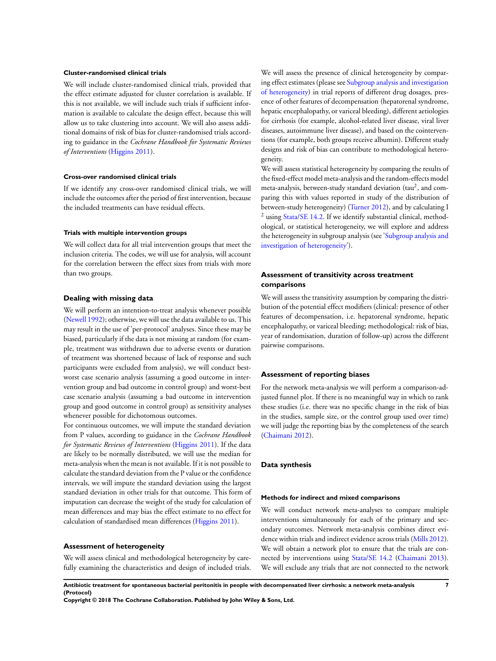### **Cluster-randomised clinical trials**

We will include cluster-randomised clinical trials, provided that the effect estimate adjusted for cluster correlation is available. If this is not available, we will include such trials if sufficient information is available to calculate the design effect, because this will allow us to take clustering into account. We will also assess additional domains of risk of bias for cluster-randomised trials according to guidance in the *Cochrane Handbook for Systematic Reviews of Interventions* ([Higgins 2011](#page-11-0)).

#### **Cross-over randomised clinical trials**

If we identify any cross-over randomised clinical trials, we will include the outcomes after the period of first intervention, because the included treatments can have residual effects.

### **Trials with multiple intervention groups**

We will collect data for all trial intervention groups that meet the inclusion criteria. The codes, we will use for analysis, will account for the correlation between the effect sizes from trials with more than two groups.

### **Dealing with missing data**

We will perform an intention-to-treat analysis whenever possible [\(Newell 1992](#page-11-0)); otherwise, we will use the data available to us. This may result in the use of 'per-protocol' analyses. Since these may be biased, particularly if the data is not missing at random (for example, treatment was withdrawn due to adverse events or duration of treatment was shortened because of lack of response and such participants were excluded from analysis), we will conduct bestworst case scenario analysis (assuming a good outcome in intervention group and bad outcome in control group) and worst-best case scenario analysis (assuming a bad outcome in intervention group and good outcome in control group) as sensitivity analyses whenever possible for dichotomous outcomes.

For continuous outcomes, we will impute the standard deviation from P values, according to guidance in the *Cochrane Handbook for Systematic Reviews of Interventions* ([Higgins 2011\)](#page-11-0). If the data are likely to be normally distributed, we will use the median for meta-analysis when the mean is not available. If it is not possible to calculate the standard deviation from the P value or the confidence intervals, we will impute the standard deviation using the largest standard deviation in other trials for that outcome. This form of imputation can decrease the weight of the study for calculation of mean differences and may bias the effect estimate to no effect for calculation of standardised mean differences [\(Higgins 2011\)](#page-11-0).

#### **Assessment of heterogeneity**

We will assess clinical and methodological heterogeneity by carefully examining the characteristics and design of included trials.

We will assess the presence of clinical heterogeneity by comparing effect estimates (please see [Subgroup analysis and investigation](#page-2-0) [of heterogeneity\)](#page-2-0) in trial reports of different drug dosages, presence of other features of decompensation (hepatorenal syndrome, hepatic encephalopathy, or variceal bleeding), different aetiologies for cirrhosis (for example, alcohol-related liver disease, viral liver diseases, autoimmune liver disease), and based on the cointerventions (for example, both groups receive albumin). Different study designs and risk of bias can contribute to methodological heterogeneity.

We will assess statistical heterogeneity by comparing the results of the fixed-effect model meta-analysis and the random-effects model meta-analysis, between-study standard deviation (tau<sup>2</sup>, and comparing this with values reported in study of the distribution of between-study heterogeneity) ([Turner 2012](#page-11-0)), and by calculating I <sup>2</sup> using [Stata/SE 14.2](#page-11-0). If we identify substantial clinical, methodological, or statistical heterogeneity, we will explore and address the heterogeneity in subgroup analysis (see '[Subgroup analysis and](#page-2-0) [investigation of heterogeneity'](#page-2-0)).

### **Assessment of transitivity across treatment comparisons**

We will assess the transitivity assumption by comparing the distribution of the potential effect modifiers (clinical: presence of other features of decompensation, i.e. hepatorenal syndrome, hepatic encephalopathy, or variceal bleeding; methodological: risk of bias, year of randomisation, duration of follow-up) across the different pairwise comparisons.

#### **Assessment of reporting biases**

For the network meta-analysis we will perform a comparison-adjusted funnel plot. If there is no meaningful way in which to rank these studies (i.e. there was no specific change in the risk of bias in the studies, sample size, or the control group used over time) we will judge the reporting bias by the completeness of the search [\(Chaimani 2012\)](#page-11-0).

### **Data synthesis**

#### **Methods for indirect and mixed comparisons**

We will conduct network meta-analyses to compare multiple interventions simultaneously for each of the primary and secondary outcomes. Network meta-analysis combines direct evidence within trials and indirect evidence across trials ([Mills 2012](#page-11-0)). We will obtain a network plot to ensure that the trials are connected by interventions using [Stata/SE 14.2](#page-11-0) [\(Chaimani 2013](#page-11-0)). We will exclude any trials that are not connected to the network

**Antibiotic treatment for spontaneous bacterial peritonitis in people with decompensated liver cirrhosis: a network meta-analysis 7 (Protocol)**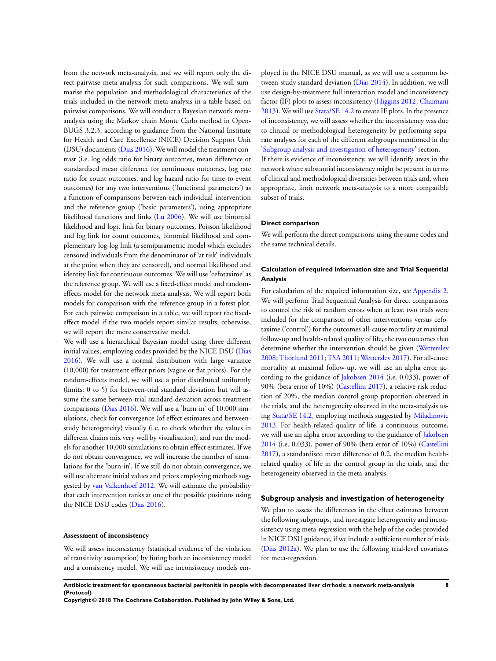from the network meta-analysis, and we will report only the direct pairwise meta-analysis for such comparisons. We will summarise the population and methodological characteristics of the trials included in the network meta-analysis in a table based on pairwise comparisons. We will conduct a Bayesian network metaanalysis using the Markov chain Monte Carlo method in Open-BUGS 3.2.3, according to guidance from the National Institute for Health and Care Excellence (NICE) Decision Support Unit (DSU) documents [\(Dias 2016\)](#page-11-0). We will model the treatment contrast (i.e. log odds ratio for binary outcomes, mean difference or standardised mean difference for continuous outcomes, log rate ratio for count outcomes, and log hazard ratio for time-to-event outcomes) for any two interventions ('functional parameters') as a function of comparisons between each individual intervention and the reference group ('basic parameters'), using appropriate likelihood functions and links ([Lu 2006](#page-11-0)). We will use binomial likelihood and logit link for binary outcomes, Poisson likelihood and log link for count outcomes, binomial likelihood and complementary log-log link (a semiparametric model which excludes censored individuals from the denominator of 'at risk' individuals at the point when they are censored), and normal likelihood and identity link for continuous outcomes. We will use 'cefotaxime' as the reference group. We will use a fixed-effect model and randomeffects model for the network meta-analysis. We will report both models for comparison with the reference group in a forest plot. For each pairwise comparison in a table, we will report the fixedeffect model if the two models report similar results; otherwise, we will report the more conservative model.

We will use a hierarchical Bayesian model using three different initial values, employing codes provided by the NICE DSU [\(Dias](#page-11-0) [2016](#page-11-0)). We will use a normal distribution with large variance (10,000) for treatment effect priors (vague or flat priors). For the random-effects model, we will use a prior distributed uniformly (limits: 0 to 5) for between-trial standard deviation but will assume the same between-trial standard deviation across treatment comparisons ([Dias 2016](#page-11-0)). We will use a 'burn-in' of 10,000 simulations, check for convergence (of effect estimates and betweenstudy heterogeneity) visually (i.e. to check whether the values in different chains mix very well by visualisation), and run the models for another 10,000 simulations to obtain effect estimates. If we do not obtain convergence, we will increase the number of simulations for the 'burn-in'. If we still do not obtain convergence, we will use alternate initial values and priors employing methods suggested by [van Valkenhoef 2012.](#page-11-0) We will estimate the probability that each intervention ranks at one of the possible positions using the NICE DSU codes ([Dias 2016\)](#page-11-0).

### **Assessment of inconsistency**

We will assess inconsistency (statistical evidence of the violation of transitivity assumption) by fitting both an inconsistency model and a consistency model. We will use inconsistency models em-

ployed in the NICE DSU manual, as we will use a common between-study standard deviation ([Dias 2014\)](#page-11-0). In addition, we will use design-by-treatment full interaction model and inconsistency factor (IF) plots to assess inconsistency ([Higgins 2012](#page-11-0); [Chaimani](#page-11-0) [2013](#page-11-0)). We will use [Stata/SE 14.2](#page-11-0) to create IF plots. In the presence of inconsistency, we will assess whether the inconsistency was due to clinical or methodological heterogeneity by performing separate analyses for each of the different subgroups mentioned in the ['Subgroup analysis and investigation of heterogeneity'](#page-2-0) section. If there is evidence of inconsistency, we will identify areas in the network where substantial inconsistency might be present in terms of clinical and methodological diversities between trials and, when appropriate, limit network meta-analysis to a more compatible subset of trials.

### **Direct comparison**

We will perform the direct comparisons using the same codes and the same technical details.

# **Calculation of required information size and Trial Sequential Analysis**

For calculation of the required information size, see [Appendix 2.](#page-16-0) We will perform Trial Sequential Analysis for direct comparisons to control the risk of random errors when at least two trials were included for the comparison of other interventions versus cefotaxime ('control') for the outcomes all-cause mortality at maximal follow-up and health-related quality of life, the two outcomes that determine whether the intervention should be given [\(Wetterslev](#page-11-0) [2008](#page-11-0); [Thorlund 2011](#page-11-0); [TSA 2011;](#page-11-0) [Wetterslev 2017](#page-11-0)). For all-cause mortality at maximal follow-up, we will use an alpha error according to the guidance of [Jakobsen 2014](#page-11-0) (i.e. 0.033), power of 90% (beta error of 10%) [\(Castellini 2017\)](#page-11-0), a relative risk reduction of 20%, the median control group proportion observed in the trials, and the heterogeneity observed in the meta-analysis using [Stata/SE 14.2](#page-11-0), employing methods suggested by [Miladinovic](#page-11-0) [2013](#page-11-0). For health-related quality of life, a continuous outcome, we will use an alpha error according to the guidance of [Jakobsen](#page-11-0) [2014](#page-11-0) (i.e. 0.033), power of 90% (beta error of 10%) [\(Castellini](#page-11-0) [2017](#page-11-0)), a standardised mean difference of 0.2, the median healthrelated quality of life in the control group in the trials, and the heterogeneity observed in the meta-analysis.

#### **Subgroup analysis and investigation of heterogeneity**

We plan to assess the differences in the effect estimates between the following subgroups, and investigate heterogeneity and inconsistency using meta-regression with the help of the codes provided in NICE DSU guidance, if we include a sufficient number of trials [\(Dias 2012a](#page-11-0)). We plan to use the following trial-level covariates for meta-regression.

**Antibiotic treatment for spontaneous bacterial peritonitis in people with decompensated liver cirrhosis: a network meta-analysis 8 (Protocol)**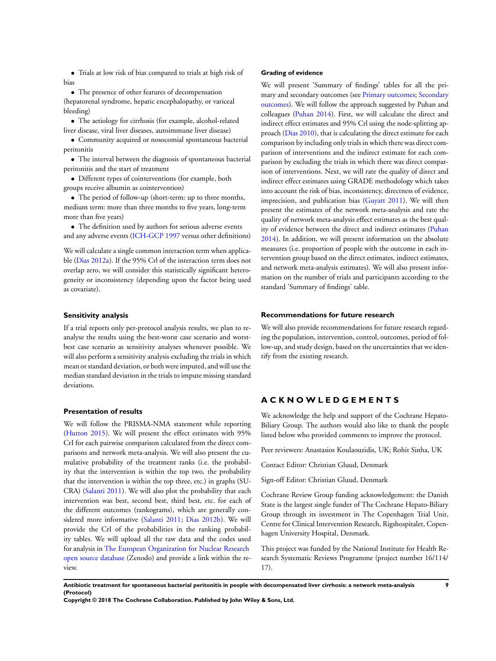• Trials at low risk of bias compared to trials at high risk of bias

• The presence of other features of decompensation (hepatorenal syndrome, hepatic encephalopathy, or variceal bleeding)

• The aetiology for cirrhosis (for example, alcohol-related liver disease, viral liver diseases, autoimmune liver disease)

• Community acquired or nosocomial spontaneous bacterial peritonitis

• The interval between the diagnosis of spontaneous bacterial peritonitis and the start of treatment

• Different types of cointerventions (for example, both groups receive albumin as cointervention)

• The period of follow-up (short-term: up to three months, medium term: more than three months to five years, long-term more than five years)

• The definition used by authors for serious adverse events and any adverse events ([ICH-GCP 1997](#page-11-0) versus other definitions)

We will calculate a single common interaction term when applicable [\(Dias 2012a](#page-11-0)). If the 95% Crl of the interaction term does not overlap zero, we will consider this statistically significant heterogeneity or inconsistency (depending upon the factor being used as covariate).

### **Sensitivity analysis**

If a trial reports only per-protocol analysis results, we plan to reanalyse the results using the best-worst case scenario and worstbest case scenario as sensitivity analyses whenever possible. We will also perform a sensitivity analysis excluding the trials in which mean or standard deviation, or both were imputed, and will use the median standard deviation in the trials to impute missing standard deviations.

### **Presentation of results**

We will follow the PRISMA-NMA statement while reporting [\(Hutton 2015\)](#page-11-0). We will present the effect estimates with 95% CrI for each pairwise comparison calculated from the direct comparisons and network meta-analysis. We will also present the cumulative probability of the treatment ranks (i.e. the probability that the intervention is within the top two, the probability that the intervention is within the top three, etc.) in graphs (SU-CRA) [\(Salanti 2011](#page-11-0)). We will also plot the probability that each intervention was best, second best, third best, etc. for each of the different outcomes (rankograms), which are generally considered more informative [\(Salanti 2011](#page-11-0); [Dias 2012b\)](#page-11-0). We will provide the CrI of the probabilities in the ranking probability tables. We will upload all the raw data and the codes used for analysis in [The European Organization for Nuclear Research](http://zenodo.org/) [open source database](http://zenodo.org/) (Zenodo) and provide a link within the review.

#### **Grading of evidence**

We will present 'Summary of findings' tables for all the primary and secondary outcomes (see [Primary outcomes](#page-2-0); [Secondary](#page-2-0) [outcomes](#page-2-0)). We will follow the approach suggested by Puhan and colleagues [\(Puhan 2014](#page-11-0)). First, we will calculate the direct and indirect effect estimates and 95% Crl using the node-splitting approach ([Dias 2010](#page-11-0)), that is calculating the direct estimate for each comparison by including only trials in which there was direct comparison of interventions and the indirect estimate for each comparison by excluding the trials in which there was direct comparison of interventions. Next, we will rate the quality of direct and indirect effect estimates using GRADE methodology which takes into account the risk of bias, inconsistency, directness of evidence, imprecision, and publication bias ([Guyatt 2011](#page-11-0)). We will then present the estimates of the network meta-analysis and rate the quality of network meta-analysis effect estimates as the best quality of evidence between the direct and indirect estimates ([Puhan](#page-11-0) [2014](#page-11-0)). In addition, we will present information on the absolute measures (i.e. proportion of people with the outcome in each intervention group based on the direct estimates, indirect estimates, and network meta-analysis estimates). We will also present information on the number of trials and participants according to the standard 'Summary of findings' table.

#### **Recommendations for future research**

We will also provide recommendations for future research regarding the population, intervention, control, outcomes, period of follow-up, and study design, based on the uncertainties that we identify from the existing research.

# **A C K N O W L E D G E M E N T S**

We acknowledge the help and support of the Cochrane Hepato-Biliary Group. The authors would also like to thank the people listed below who provided comments to improve the protocol.

Peer reviewers: Anastasios Koulaouzidis, UK; Rohit Sinha, UK

Contact Editor: Christian Gluud, Denmark

Sign-off Editor: Christian Gluud, Denmark

Cochrane Review Group funding acknowledgement: the Danish State is the largest single funder of The Cochrane Hepato-Biliary Group through its investment in The Copenhagen Trial Unit, Centre for Clinical Intervention Research, Rigshospitalet, Copenhagen University Hospital, Denmark.

This project was funded by the National Institute for Health Research Systematic Reviews Programme (project number 16/114/ 17).

**Antibiotic treatment for spontaneous bacterial peritonitis in people with decompensated liver cirrhosis: a network meta-analysis 9 (Protocol)**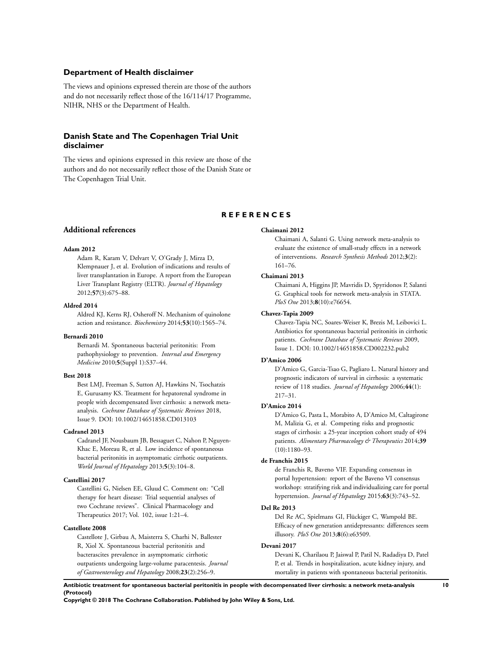### <span id="page-11-0"></span>**Department of Health disclaimer**

The views and opinions expressed therein are those of the authors and do not necessarily reflect those of the 16/114/17 Programme, NIHR, NHS or the Department of Health.

# **Danish State and The Copenhagen Trial Unit disclaimer**

The views and opinions expressed in this review are those of the authors and do not necessarily reflect those of the Danish State or The Copenhagen Trial Unit.

### **R E F E R E N C E S**

### **Additional references**

#### **Adam 2012**

Adam R, Karam V, Delvart V, O'Grady J, Mirza D, Klempnauer J, et al. Evolution of indications and results of liver transplantation in Europe. A report from the European Liver Transplant Registry (ELTR). *Journal of Hepatology* 2012;**57**(3):675–88.

#### **Aldred 2014**

Aldred KJ, Kerns RJ, Osheroff N. Mechanism of quinolone action and resistance. *Biochemistry* 2014;**53**(10):1565–74.

### **Bernardi 2010**

Bernardi M. Spontaneous bacterial peritonitis: From pathophysiology to prevention. *Internal and Emergency Medicine* 2010;**5**(Suppl 1):S37–44.

#### **Best 2018**

Best LMJ, Freeman S, Sutton AJ, Hawkins N, Tsochatzis E, Gurusamy KS. Treatment for hepatorenal syndrome in people with decompensated liver cirrhosis: a network metaanalysis. *Cochrane Database of Systematic Reviews* 2018, Issue 9. DOI: 10.1002/14651858.CD013103

#### **Cadranel 2013**

Cadranel JF, Nousbaum JB, Bessaguet C, Nahon P, Nguyen-Khac E, Moreau R, et al. Low incidence of spontaneous bacterial peritonitis in asymptomatic cirrhotic outpatients. *World Journal of Hepatology* 2013;**5**(3):104–8.

### **Castellini 2017**

Castellini G, Nielsen EE, Gluud C. Comment on: "Cell therapy for heart disease: Trial sequential analyses of two Cochrane reviews". Clinical Pharmacology and Therapeutics 2017; Vol. 102, issue 1:21–4.

#### **Castellote 2008**

Castellote J, Girbau A, Maisterra S, Charhi N, Ballester R, Xiol X. Spontaneous bacterial peritonitis and bacterascites prevalence in asymptomatic cirrhotic outpatients undergoing large-volume paracentesis. *Journal of Gastroenterology and Hepatology* 2008;**23**(2):256–9.

#### **Chaimani 2012**

Chaimani A, Salanti G. Using network meta-analysis to evaluate the existence of small-study effects in a network of interventions. *Research Synthesis Methods* 2012;**3**(2): 161–76.

#### **Chaimani 2013**

Chaimani A, Higgins JP, Mavridis D, Spyridonos P, Salanti G. Graphical tools for network meta-analysis in STATA. *PloS One* 2013;**8**(10):e76654.

### **Chavez-Tapia 2009**

Chavez-Tapia NC, Soares-Weiser K, Brezis M, Leibovici L. Antibiotics for spontaneous bacterial peritonitis in cirrhotic patients. *Cochrane Database of Systematic Reviews* 2009, Issue 1. DOI: 10.1002/14651858.CD002232.pub2

#### **D'Amico 2006**

D'Amico G, Garcia-Tsao G, Pagliaro L. Natural history and prognostic indicators of survival in cirrhosis: a systematic review of 118 studies. *Journal of Hepatology* 2006;**44**(1): 217–31.

#### **D'Amico 2014**

D'Amico G, Pasta L, Morabito A, D'Amico M, Caltagirone M, Malizia G, et al. Competing risks and prognostic stages of cirrhosis: a 25-year inception cohort study of 494 patients. *Alimentary Pharmacology & Therapeutics* 2014;**39** (10):1180–93.

#### **de Franchis 2015**

de Franchis R, Baveno VIF. Expanding consensus in portal hypertension: report of the Baveno VI consensus workshop: stratifying risk and individualizing care for portal hypertension. *Journal of Hepatology* 2015;**63**(3):743–52.

#### **Del Re 2013**

Del Re AC, Spielmans GI, Flückiger C, Wampold BE. Efficacy of new generation antidepressants: differences seem illusory. *PloS One* 2013;**8**(6):e63509.

### **Devani 2017**

Devani K, Charilaou P, Jaiswal P, Patil N, Radadiya D, Patel P, et al. Trends in hospitalization, acute kidney injury, and mortality in patients with spontaneous bacterial peritonitis.

**Antibiotic treatment for spontaneous bacterial peritonitis in people with decompensated liver cirrhosis: a network meta-analysis 10 (Protocol)**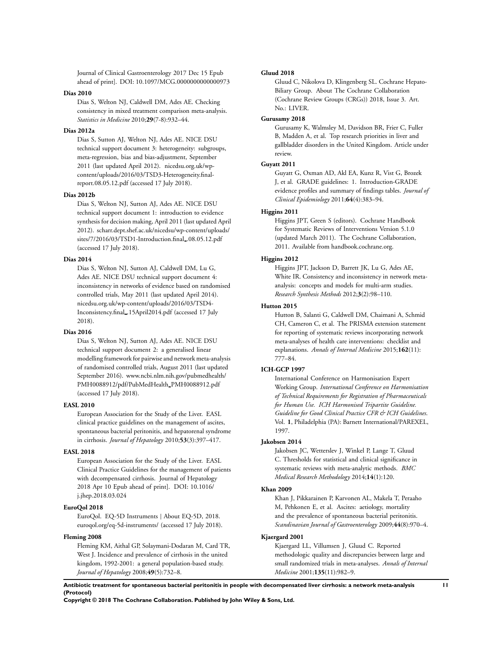Journal of Clinical Gastroenterology 2017 Dec 15 Epub ahead of print]. DOI: 10.1097/MCG.0000000000000973

#### **Dias 2010**

Dias S, Welton NJ, Caldwell DM, Ades AE. Checking consistency in mixed treatment comparison meta-analysis. *Statistics in Medicine* 2010;**29**(7-8):932–44.

### **Dias 2012a**

Dias S, Sutton AJ, Welton NJ, Ades AE. NICE DSU technical support document 3: heterogeneity: subgroups, meta-regression, bias and bias-adjustment, September 2011 (last updated April 2012). nicedsu.org.uk/wpcontent/uploads/2016/03/TSD3-Heterogeneity.finalreport.08.05.12.pdf (accessed 17 July 2018).

#### **Dias 2012b**

Dias S, Welton NJ, Sutton AJ, Ades AE. NICE DSU technical support document 1: introduction to evidence synthesis for decision making, April 2011 (last updated April 2012). scharr.dept.shef.ac.uk/nicedsu/wp-content/uploads/ sites/7/2016/03/TSD1-Introduction.final .08.05.12.pdf (accessed 17 July 2018).

#### **Dias 2014**

Dias S, Welton NJ, Sutton AJ, Caldwell DM, Lu G, Ades AE. NICE DSU technical support document 4: inconsistency in networks of evidence based on randomised controlled trials, May 2011 (last updated April 2014). nicedsu.org.uk/wp-content/uploads/2016/03/TSD4- Inconsistency.final .15April2014.pdf (accessed 17 July 2018).

#### **Dias 2016**

Dias S, Welton NJ, Sutton AJ, Ades AE. NICE DSU technical support document 2: a generalised linear modelling framework for pairwise and network meta-analysis of randomised controlled trials, August 2011 (last updated September 2016). www.ncbi.nlm.nih.gov/pubmedhealth/ PMH0088912/pdf/PubMedHealth PMH0088912.pdf (accessed 17 July 2018).

#### **EASL 2010**

European Association for the Study of the Liver. EASL clinical practice guidelines on the management of ascites, spontaneous bacterial peritonitis, and hepatorenal syndrome in cirrhosis. *Journal of Hepatology* 2010;**53**(3):397–417.

#### **EASL 2018**

European Association for the Study of the Liver. EASL Clinical Practice Guidelines for the management of patients with decompensated cirrhosis. Journal of Hepatology 2018 Apr 10 Epub ahead of print]. DOI: 10.1016/ j.jhep.2018.03.024

### **EuroQol 2018**

EuroQol. EQ-5D Instruments | About EQ-5D, 2018. euroqol.org/eq-5d-instruments/ (accessed 17 July 2018).

### **Fleming 2008**

Fleming KM, Aithal GP, Solaymani-Dodaran M, Card TR, West J. Incidence and prevalence of cirrhosis in the united kingdom, 1992-2001: a general population-based study. *Journal of Hepatology* 2008;**49**(5):732–8.

#### **Gluud 2018**

Gluud C, Nikolova D, Klingenberg SL. Cochrane Hepato-Biliary Group. About The Cochrane Collaboration (Cochrane Review Groups (CRGs)) 2018, Issue 3. Art. No.: LIVER.

#### **Gurusamy 2018**

Gurusamy K, Walmsley M, Davidson BR, Frier C, Fuller B, Madden A, et al. Top research priorities in liver and gallbladder disorders in the United Kingdom. Article under review.

### **Guyatt 2011**

Guyatt G, Oxman AD, Akl EA, Kunz R, Vist G, Brozek J, et al. GRADE guidelines: 1. Introduction-GRADE evidence profiles and summary of findings tables. *Journal of Clinical Epidemiology* 2011;**64**(4):383–94.

### **Higgins 2011**

Higgins JPT, Green S (editors). Cochrane Handbook for Systematic Reviews of Interventions Version 5.1.0 (updated March 2011). The Cochrane Collaboration, 2011. Available from handbook.cochrane.org.

### **Higgins 2012**

Higgins JPT, Jackson D, Barrett JK, Lu G, Ades AE, White IR. Consistency and inconsistency in network metaanalysis: concepts and models for multi-arm studies. *Research Synthesis Methods* 2012;**3**(2):98–110.

### **Hutton 2015**

Hutton B, Salanti G, Caldwell DM, Chaimani A, Schmid CH, Cameron C, et al. The PRISMA extension statement for reporting of systematic reviews incorporating network meta-analyses of health care interventions: checklist and explanations. *Annals of Internal Medicine* 2015;**162**(11): 777–84.

#### **ICH-GCP 1997**

International Conference on Harmonisation Expert Working Group. *International Conference on Harmonisation of Technical Requirements for Registration of Pharmaceuticals for Human Use. ICH Harmonised Tripartite Guideline. Guideline for Good Clinical Practice CFR & ICH Guidelines*. Vol. **1**, Philadelphia (PA): Barnett International/PAREXEL, 1997.

#### **Jakobsen 2014**

Jakobsen JC, Wetterslev J, Winkel P, Lange T, Gluud C. Thresholds for statistical and clinical significance in systematic reviews with meta-analytic methods. *BMC Medical Research Methodology* 2014;**14**(1):120.

#### **Khan 2009**

Khan J, Pikkarainen P, Karvonen AL, Makela T, Peraaho M, Pehkonen E, et al. Ascites: aetiology, mortality and the prevalence of spontaneous bacterial peritonitis. *Scandinavian Journal of Gastroenterology* 2009;**44**(8):970–4.

### **Kjaergard 2001**

Kjaergard LL, Villumsen J, Gluud C. Reported methodologic quality and discrepancies between large and small randomized trials in meta-analyses. *Annals of Internal Medicine* 2001;**135**(11):982–9.

**Antibiotic treatment for spontaneous bacterial peritonitis in people with decompensated liver cirrhosis: a network meta-analysis 11 (Protocol)**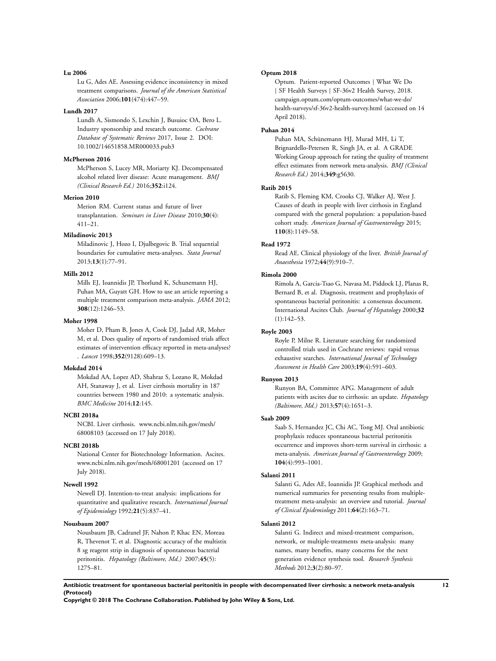#### **Lu 2006**

Lu G, Ades AE. Assessing evidence inconsistency in mixed treatment comparisons. *Journal of the American Statistical Association* 2006;**101**(474):447–59.

#### **Lundh 2017**

Lundh A, Sismondo S, Lexchin J, Busuioc OA, Bero L. Industry sponsorship and research outcome. *Cochrane Database of Systematic Reviews* 2017, Issue 2. DOI: 10.1002/14651858.MR000033.pub3

### **McPherson 2016**

McPherson S, Lucey MR, Moriarty KJ. Decompensated alcohol related liver disease: Acute management. *BMJ (Clinical Research Ed.)* 2016;**352**:i124.

#### **Merion 2010**

Merion RM. Current status and future of liver transplantation. *Seminars in Liver Disease* 2010;**30**(4):  $411 - 21$ 

#### **Miladinovic 2013**

Miladinovic J, Hozo I, Djulbegovic B. Trial sequential boundaries for cumulative meta-analyses. *Stata Journal* 2013;**13**(1):77–91.

### **Mills 2012**

Mills EJ, Ioannidis JP, Thorlund K, Schunemann HJ, Puhan MA, Guyatt GH. How to use an article reporting a multiple treatment comparison meta-analysis. *JAMA* 2012; **308**(12):1246–53.

#### **Moher 1998**

Moher D, Pham B, Jones A, Cook DJ, Jadad AR, Moher M, et al. Does quality of reports of randomised trials affect estimates of intervention efficacy reported in meta-analyses? . *Lancet* 1998;**352**(9128):609–13.

#### **Mokdad 2014**

Mokdad AA, Lopez AD, Shahraz S, Lozano R, Mokdad AH, Stanaway J, et al. Liver cirrhosis mortality in 187 countries between 1980 and 2010: a systematic analysis. *BMC Medicine* 2014;**12**:145.

#### **NCBI 2018a**

NCBI. Liver cirrhosis. www.ncbi.nlm.nih.gov/mesh/ 68008103 (accessed on 17 July 2018).

#### **NCBI 2018b**

National Center for Biotechnology Information. Ascites. www.ncbi.nlm.nih.gov/mesh/68001201 (accessed on 17 July 2018).

### **Newell 1992**

Newell DJ. Intention-to-treat analysis: implications for quantitative and qualitative research. *International Journal of Epidemiology* 1992;**21**(5):837–41.

#### **Nousbaum 2007**

Nousbaum JB, Cadranel JF, Nahon P, Khac EN, Moreau R, Thevenot T, et al. Diagnostic accuracy of the multistix 8 sg reagent strip in diagnosis of spontaneous bacterial peritonitis. *Hepatology (Baltimore, Md.)* 2007;**45**(5): 1275–81.

#### **Optum 2018**

Optum. Patient-reported Outcomes | What We Do | SF Health Surveys | SF-36v2 Health Survey, 2018. campaign.optum.com/optum-outcomes/what-we-do/ health-surveys/sf-36v2-health-survey.html (accessed on 14 April 2018).

#### **Puhan 2014**

Puhan MA, Schünemann HJ, Murad MH, Li T, Brignardello-Petersen R, Singh JA, et al. A GRADE Working Group approach for rating the quality of treatment effect estimates from network meta-analysis. *BMJ (Clinical Research Ed.)* 2014;**349**:g5630.

#### **Ratib 2015**

Ratib S, Fleming KM, Crooks CJ, Walker AJ, West J. Causes of death in people with liver cirrhosis in England compared with the general population: a population-based cohort study. *American Journal of Gastroenterology* 2015; **110**(8):1149–58.

#### **Read 1972**

Read AE. Clinical physiology of the liver. *British Journal of Anaesthesia* 1972;**44**(9):910–7.

### **Rimola 2000**

Rimola A, Garcia-Tsao G, Navasa M, Piddock LJ, Planas R, Bernard B, et al. Diagnosis, treatment and prophylaxis of spontaneous bacterial peritonitis: a consensus document. International Ascites Club. *Journal of Hepatology* 2000;**32**  $(1):142-53.$ 

#### **Royle 2003**

Royle P, Milne R. Literature searching for randomized controlled trials used in Cochrane reviews: rapid versus exhaustive searches. *International Journal of Technology Assessment in Health Care* 2003;**19**(4):591–603.

#### **Runyon 2013**

Runyon BA, Committee APG. Management of adult patients with ascites due to cirrhosis: an update. *Hepatology (Baltimore, Md.)* 2013;**57**(4):1651–3.

#### **Saab 2009**

Saab S, Hernandez JC, Chi AC, Tong MJ. Oral antibiotic prophylaxis reduces spontaneous bacterial peritonitis occurrence and improves short-term survival in cirrhosis: a meta-analysis. *American Journal of Gastroenterology* 2009; **104**(4):993–1001.

#### **Salanti 2011**

Salanti G, Ades AE, Ioannidis JP. Graphical methods and numerical summaries for presenting results from multipletreatment meta-analysis: an overview and tutorial. *Journal of Clinical Epidemiology* 2011;**64**(2):163–71.

### **Salanti 2012**

Salanti G. Indirect and mixed-treatment comparison, network, or multiple-treatments meta-analysis: many names, many benefits, many concerns for the next generation evidence synthesis tool. *Research Synthesis Methods* 2012;**3**(2):80–97.

**Antibiotic treatment for spontaneous bacterial peritonitis in people with decompensated liver cirrhosis: a network meta-analysis 12 (Protocol)**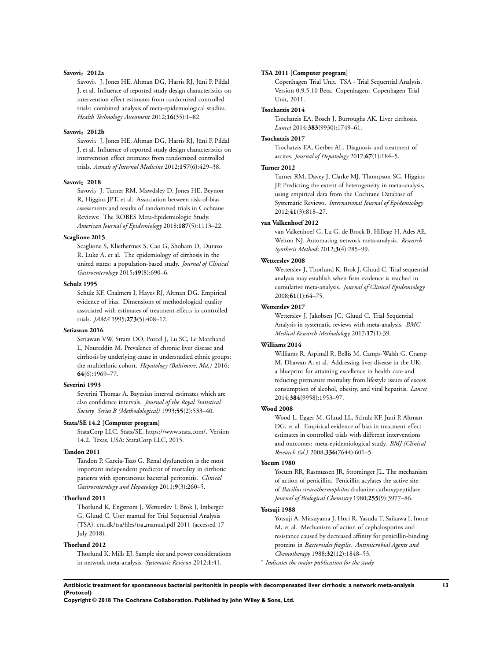#### Savović 2012a

Savovic J, Jones HE, Altman DG, Harris RJ, Jüni P, Pildal J, et al. Influence of reported study design characteristics on intervention effect estimates from randomized controlled trials: combined analysis of meta-epidemiological studies. *Health Technology Assessment* 2012;**16**(35):1–82.

#### **Savovi 2012b**

Savović J, Jones HE, Altman DG, Harris RJ, Jüni P, Pildal J, et al. Influence of reported study design characteristics on intervention effect estimates from randomized controlled trials. *Annals of Internal Medicine* 2012;**157**(6):429–38.

#### **Savovi 2018**

Savovic J, Turner RM, Mawdsley D, Jones HE, Beynon R, Higgins JPT, et al. Association between risk-of-bias assessments and results of randomized trials in Cochrane Reviews: The ROBES Meta-Epidemiologic Study. *American Journal of Epidemiology* 2018;**187**(5):1113–22.

### **Scaglione 2015**

Scaglione S, Kliethermes S, Cao G, Shoham D, Durazo R, Luke A, et al. The epidemiology of cirrhosis in the united states: a population-based study. *Journal of Clinical Gastroenterology* 2015;**49**(8):690–6.

#### **Schulz 1995**

Schulz KF, Chalmers I, Hayes RJ, Altman DG. Empirical evidence of bias. Dimensions of methodological quality associated with estimates of treatment effects in controlled trials. *JAMA* 1995;**273**(5):408–12.

#### **Setiawan 2016**

Setiawan VW, Stram DO, Porcel J, Lu SC, Le Marchand L, Noureddin M. Prevalence of chronic liver disease and cirrhosis by underlying cause in understudied ethnic groups: the multiethnic cohort. *Hepatology (Baltimore, Md.)* 2016; **64**(6):1969–77.

### **Severini 1993**

Severini Thomas A. Bayesian interval estimates which are also confidence intervals. *Journal of the Royal Statistical Society. Series B (Methodological)* 1993;**55**(2):533–40.

#### **Stata/SE 14.2 [Computer program]**

StataCorp LLC. Stata/SE. https://www.stata.com/. Version 14.2. Texas, USA: StataCorp LLC, 2015.

### **Tandon 2011**

Tandon P, Garcia-Tsao G. Renal dysfunction is the most important independent predictor of mortality in cirrhotic patients with spontaneous bacterial peritonitis. *Clinical Gastroenterology and Hepatology* 2011;**9**(3):260–5.

#### **Thorlund 2011**

Thorlund K, Engstrøm J, Wetterslev J, Brok J, Imberger G, Gluud C. User manual for Trial Sequential Analysis (TSA). ctu.dk/tsa/files/tsa manual.pdf 2011 (accessed 17 July 2018).

### **Thorlund 2012**

Thorlund K, Mills EJ. Sample size and power considerations in network meta-analysis. *Systematic Reviews* 2012;**1**:41.

### **TSA 2011 [Computer program]**

Copenhagen Trial Unit. TSA - Trial Sequential Analysis. Version 0.9.5.10 Beta. Copenhagen: Copenhagen Trial Unit, 2011.

#### **Tsochatzis 2014**

Tsochatzis EA, Bosch J, Burroughs AK. Liver cirrhosis. *Lancet* 2014;**383**(9930):1749–61.

#### **Tsochatzis 2017**

Tsochatzis EA, Gerbes AL. Diagnosis and treatment of ascites. *Journal of Hepatology* 2017;**67**(1):184–5.

### **Turner 2012**

Turner RM, Davey J, Clarke MJ, Thompson SG, Higgins JP. Predicting the extent of heterogeneity in meta-analysis, using empirical data from the Cochrane Database of Systematic Reviews. *International Journal of Epidemiology* 2012;**41**(3):818–27.

### **van Valkenhoef 2012**

van Valkenhoef G, Lu G, de Brock B, Hillege H, Ades AE, Welton NJ. Automating network meta-analysis. *Research Synthesis Methods* 2012;**3**(4):285–99.

#### **Wetterslev 2008**

Wetterslev J, Thorlund K, Brok J, Gluud C. Trial sequential analysis may establish when firm evidence is reached in cumulative meta-analysis. *Journal of Clinical Epidemiology* 2008;**61**(1):64–75.

### **Wetterslev 2017**

Wetterslev J, Jakobsen JC, Gluud C. Trial Sequential Analysis in systematic reviews with meta-analysis. *BMC Medical Research Methodology* 2017;**17**(1):39.

#### **Williams 2014**

Williams R, Aspinall R, Bellis M, Camps-Walsh G, Cramp M, Dhawan A, et al. Addressing liver disease in the UK: a blueprint for attaining excellence in health care and reducing premature mortality from lifestyle issues of excess consumption of alcohol, obesity, and viral hepatitis. *Lancet* 2014;**384**(9958):1953–97.

### **Wood 2008**

Wood L, Egger M, Gluud LL, Schulz KF, Juni P, Altman DG, et al. Empirical evidence of bias in treatment effect estimates in controlled trials with different interventions and outcomes: meta-epidemiological study. *BMJ (Clinical Research Ed.)* 2008;**336**(7644):601–5.

#### **Yocum 1980**

Yocum RR, Rasmussen JR, Strominger JL. The mechanism of action of penicillin. Penicillin acylates the active site of *Bacillus stearothermophilus* d-alanine carboxypeptidase. *Journal of Biological Chemistry* 1980;**255**(9):3977–86.

#### **Yotsuji 1988**

Yotsuji A, Mitsuyama J, Hori R, Yasuda T, Saikawa I, Inoue M, et al. Mechanism of action of cephalosporins and resistance caused by decreased affinity for penicillin-binding proteins in *Bacteroides fragilis*. *Antimicrobial Agents and Chemotherapy* 1988;**32**(12):1848–53.

∗ *Indicates the major publication for the study*

**Antibiotic treatment for spontaneous bacterial peritonitis in people with decompensated liver cirrhosis: a network meta-analysis 13 (Protocol)**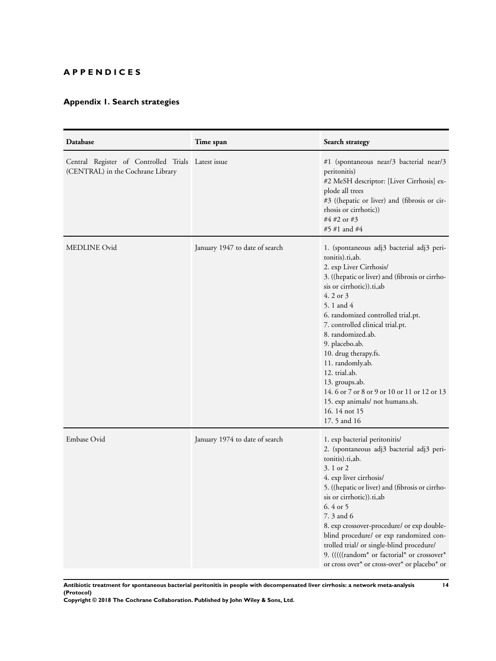# <span id="page-15-0"></span>**A P P E N D I C E S**

# **Appendix 1. Search strategies**

| Database                                                                                | Time span                      | Search strategy                                                                                                                                                                                                                                                                                                                                                                                                                                                                                                        |
|-----------------------------------------------------------------------------------------|--------------------------------|------------------------------------------------------------------------------------------------------------------------------------------------------------------------------------------------------------------------------------------------------------------------------------------------------------------------------------------------------------------------------------------------------------------------------------------------------------------------------------------------------------------------|
| Central Register of Controlled Trials Latest issue<br>(CENTRAL) in the Cochrane Library |                                | #1 (spontaneous near/3 bacterial near/3<br>peritonitis)<br>#2 MeSH descriptor: [Liver Cirrhosis] ex-<br>plode all trees<br>#3 ((hepatic or liver) and (fibrosis or cir-<br>rhosis or cirrhotic))<br>#4 #2 or #3<br>#5 #1 and #4                                                                                                                                                                                                                                                                                        |
| <b>MEDLINE</b> Ovid                                                                     | January 1947 to date of search | 1. (spontaneous adj3 bacterial adj3 peri-<br>tonitis).ti,ab.<br>2. exp Liver Cirrhosis/<br>3. ((hepatic or liver) and (fibrosis or cirrho-<br>sis or cirrhotic)).ti,ab<br>4. 2 or 3<br>5. 1 and 4<br>6. randomized controlled trial.pt.<br>7. controlled clinical trial.pt.<br>8. randomized.ab.<br>9. placebo.ab.<br>10. drug therapy.fs.<br>11. randomly.ab.<br>12. trial.ab.<br>13. groups.ab.<br>14.6 or 7 or 8 or 9 or 10 or 11 or 12 or 13<br>15. exp animals/ not humans.sh.<br>16.14 not 15<br>17.5 and 16     |
| Embase Ovid                                                                             | January 1974 to date of search | 1. exp bacterial peritonitis/<br>2. (spontaneous adj3 bacterial adj3 peri-<br>tonitis).ti,ab.<br>3.1 or 2<br>4. exp liver cirrhosis/<br>5. ((hepatic or liver) and (fibrosis or cirrho-<br>sis or cirrhotic)).ti,ab<br>6.4 or 5<br>7. 3 and 6<br>8. exp crossover-procedure/ or exp double-<br>blind procedure/ or exp randomized con-<br>trolled trial/ or single-blind procedure/<br>9. (((((random <sup>*</sup> or factorial <sup>*</sup> or crossover <sup>*</sup><br>or cross over* or cross-over* or placebo* or |

**Antibiotic treatment for spontaneous bacterial peritonitis in people with decompensated liver cirrhosis: a network meta-analysis 14 (Protocol)**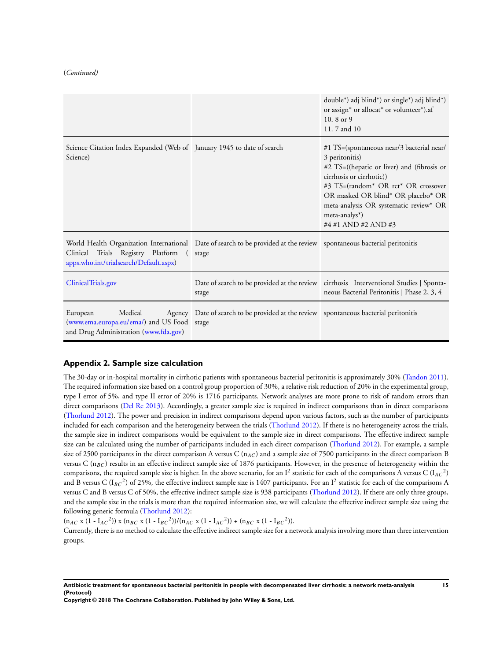### <span id="page-16-0"></span>(*Continued)*

|                                                                                                            |                                                                                                                                | double*) adj blind*) or single*) adj blind*)<br>or assign* or allocat* or volunteer*).af<br>10.8 or $9$<br>11.7 and 10                                                                                                                                                                                 |
|------------------------------------------------------------------------------------------------------------|--------------------------------------------------------------------------------------------------------------------------------|--------------------------------------------------------------------------------------------------------------------------------------------------------------------------------------------------------------------------------------------------------------------------------------------------------|
| Science Citation Index Expanded (Web of January 1945 to date of search<br>Science)                         |                                                                                                                                | #1 TS=(spontaneous near/3 bacterial near/<br>3 peritonitis)<br>$#2$ TS=((hepatic or liver) and (fibrosis or<br>cirrhosis or cirrhotic))<br>#3 TS=(random* OR rct* OR crossover<br>OR masked OR blind* OR placebo* OR<br>meta-analysis OR systematic review* OR<br>meta-analys*)<br>#4 #1 AND #2 AND #3 |
| Clinical Trials Registry Platform<br>$\left($<br>apps.who.int/trialsearch/Default.aspx)                    | World Health Organization International Date of search to be provided at the review spontaneous bacterial peritonitis<br>stage |                                                                                                                                                                                                                                                                                                        |
| ClinicalTrials.gov                                                                                         | stage                                                                                                                          | Date of search to be provided at the review cirrhosis   Interventional Studies   Sponta-<br>neous Bacterial Peritonitis   Phase 2, 3, 4                                                                                                                                                                |
| Medical<br>European<br>(www.ema.europa.eu/ema/) and US Food stage<br>and Drug Administration (www.fda.gov) | Agency Date of search to be provided at the review spontaneous bacterial peritonitis                                           |                                                                                                                                                                                                                                                                                                        |

### **Appendix 2. Sample size calculation**

The 30-day or in-hospital mortality in cirrhotic patients with spontaneous bacterial peritonitis is approximately 30% ([Tandon 2011](#page-11-0)). The required information size based on a control group proportion of 30%, a relative risk reduction of 20% in the experimental group, type I error of 5%, and type II error of 20% is 1716 participants. Network analyses are more prone to risk of random errors than direct comparisons [\(Del Re 2013\)](#page-11-0). Accordingly, a greater sample size is required in indirect comparisons than in direct comparisons [\(Thorlund 2012\)](#page-11-0). The power and precision in indirect comparisons depend upon various factors, such as the number of participants included for each comparison and the heterogeneity between the trials ([Thorlund 2012\)](#page-11-0). If there is no heterogeneity across the trials, the sample size in indirect comparisons would be equivalent to the sample size in direct comparisons. The effective indirect sample size can be calculated using the number of participants included in each direct comparison [\(Thorlund 2012\)](#page-11-0). For example, a sample size of 2500 participants in the direct comparison A versus C ( $n_{AC}$ ) and a sample size of 7500 participants in the direct comparison B versus C ( $n_{BC}$ ) results in an effective indirect sample size of 1876 participants. However, in the presence of heterogeneity within the comparisons, the required sample size is higher. In the above scenario, for an I<sup>2</sup> statistic for each of the comparisons A versus C (I<sub>AC</sub><sup>2</sup>) and B versus C (I<sub>BC</sub><sup>2</sup>) of 25%, the effective indirect sample size is 1407 participants. For an I<sup>2</sup> statistic for each of the comparisons A versus C and B versus C of 50%, the effective indirect sample size is 938 participants [\(Thorlund 2012\)](#page-11-0). If there are only three groups, and the sample size in the trials is more than the required information size, we will calculate the effective indirect sample size using the following generic formula ([Thorlund 2012](#page-11-0)):

 $(n_{AC} x (1 - I_{AC}^2)) x (n_{BC} x (1 - I_{BC}^2)) / (n_{AC} x (1 - I_{AC}^2)) + (n_{BC} x (1 - I_{BC}^2)).$ 

Currently, there is no method to calculate the effective indirect sample size for a network analysis involving more than three intervention groups.